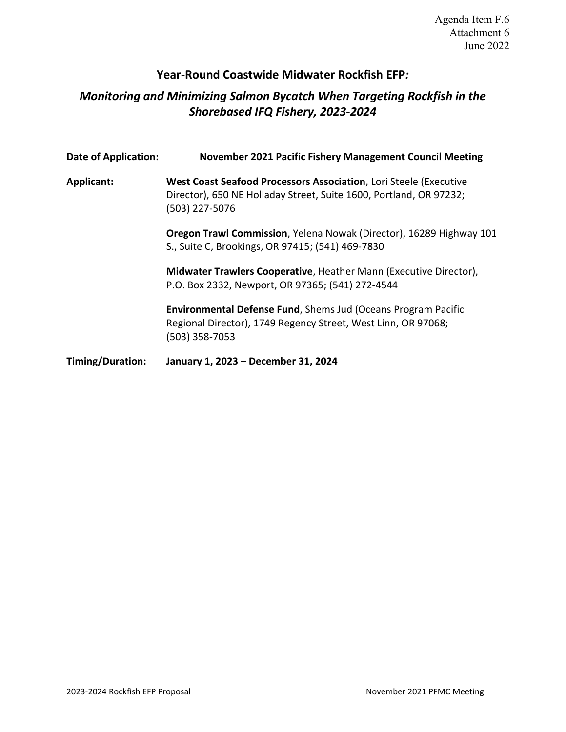## **Year-Round Coastwide Midwater Rockfish EFP***:*

# *Monitoring and Minimizing Salmon Bycatch When Targeting Rockfish in the Shorebased IFQ Fishery, 2023-2024*

| <b>Date of Application:</b> | November 2021 Pacific Fishery Management Council Meeting                                                                                                  |
|-----------------------------|-----------------------------------------------------------------------------------------------------------------------------------------------------------|
| <b>Applicant:</b>           | West Coast Seafood Processors Association, Lori Steele (Executive<br>Director), 650 NE Holladay Street, Suite 1600, Portland, OR 97232;<br>(503) 227-5076 |
|                             | <b>Oregon Trawl Commission, Yelena Nowak (Director), 16289 Highway 101</b><br>S., Suite C, Brookings, OR 97415; (541) 469-7830                            |
|                             | Midwater Trawlers Cooperative, Heather Mann (Executive Director),<br>P.O. Box 2332, Newport, OR 97365; (541) 272-4544                                     |
|                             | <b>Environmental Defense Fund, Shems Jud (Oceans Program Pacific</b><br>Regional Director), 1749 Regency Street, West Linn, OR 97068;<br>(503) 358-7053   |
| Timing/Duration:            | January 1, 2023 - December 31, 2024                                                                                                                       |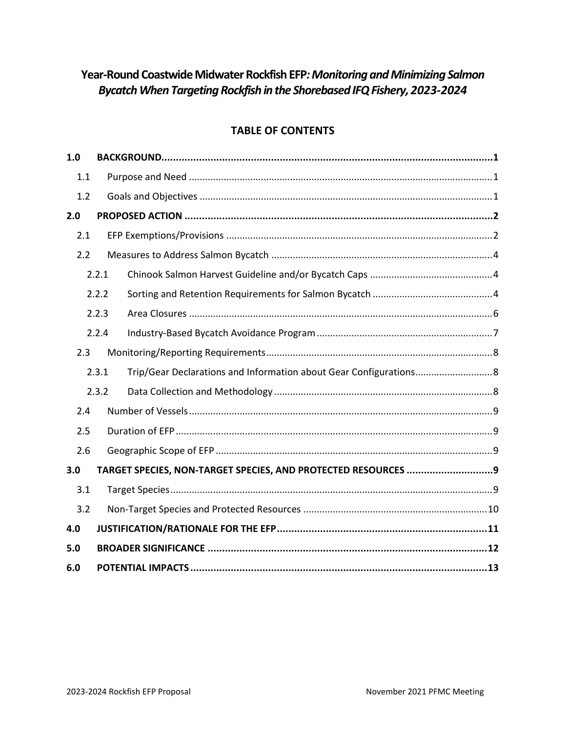# **Year-Round Coastwide Midwater Rockfish EFP***: Monitoring and Minimizing Salmon Bycatch When Targeting Rockfish in the Shorebased IFQ Fishery, 2023-2024*

## **TABLE OF CONTENTS**

| 1.0 |       |                                                                |  |
|-----|-------|----------------------------------------------------------------|--|
| 1.1 |       |                                                                |  |
| 1.2 |       |                                                                |  |
| 2.0 |       |                                                                |  |
| 2.1 |       |                                                                |  |
| 2.2 |       |                                                                |  |
|     | 2.2.1 |                                                                |  |
|     | 2.2.2 |                                                                |  |
|     | 2.2.3 |                                                                |  |
|     | 2.2.4 |                                                                |  |
| 2.3 |       |                                                                |  |
|     | 2.3.1 |                                                                |  |
|     | 2.3.2 |                                                                |  |
| 2.4 |       |                                                                |  |
| 2.5 |       |                                                                |  |
| 2.6 |       |                                                                |  |
| 3.0 |       | TARGET SPECIES, NON-TARGET SPECIES, AND PROTECTED RESOURCES  9 |  |
| 3.1 |       |                                                                |  |
| 3.2 |       |                                                                |  |
| 4.0 |       |                                                                |  |
| 5.0 |       |                                                                |  |
| 6.0 |       |                                                                |  |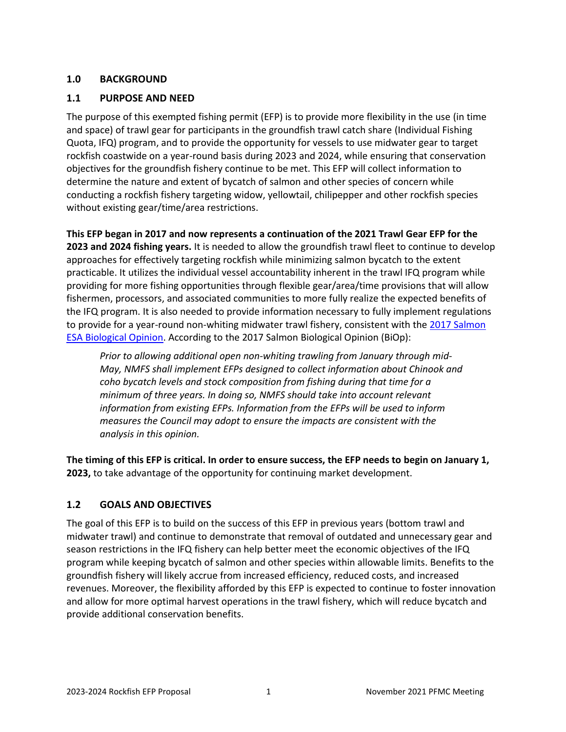## <span id="page-2-0"></span>**1.0 BACKGROUND**

### <span id="page-2-1"></span>**1.1 PURPOSE AND NEED**

The purpose of this exempted fishing permit (EFP) is to provide more flexibility in the use (in time and space) of trawl gear for participants in the groundfish trawl catch share (Individual Fishing Quota, IFQ) program, and to provide the opportunity for vessels to use midwater gear to target rockfish coastwide on a year-round basis during 2023 and 2024, while ensuring that conservation objectives for the groundfish fishery continue to be met. This EFP will collect information to determine the nature and extent of bycatch of salmon and other species of concern while conducting a rockfish fishery targeting widow, yellowtail, chilipepper and other rockfish species without existing gear/time/area restrictions.

**This EFP began in 2017 and now represents a continuation of the 2021 Trawl Gear EFP for the 2023 and 2024 fishing years.** It is needed to allow the groundfish trawl fleet to continue to develop approaches for effectively targeting rockfish while minimizing salmon bycatch to the extent practicable. It utilizes the individual vessel accountability inherent in the trawl IFQ program while providing for more fishing opportunities through flexible gear/area/time provisions that will allow fishermen, processors, and associated communities to more fully realize the expected benefits of the IFQ program. It is also needed to provide information necessary to fully implement regulations to provide for a year-round non-whiting midwater trawl fishery, consistent with the [2017 Salmon](https://www.pcouncil.org/wp-content/uploads/2018/02/H5_Att1_FullVersionElectricOnly_S7-Groundfish-_biop_121117_MAR2018BB.pdf)  [ESA Biological Opinion.](https://www.pcouncil.org/wp-content/uploads/2018/02/H5_Att1_FullVersionElectricOnly_S7-Groundfish-_biop_121117_MAR2018BB.pdf) According to the 2017 Salmon Biological Opinion (BiOp):

*Prior to allowing additional open non-whiting trawling from January through mid-May, NMFS shall implement EFPs designed to collect information about Chinook and coho bycatch levels and stock composition from fishing during that time for a minimum of three years. In doing so, NMFS should take into account relevant information from existing EFPs. Information from the EFPs will be used to inform measures the Council may adopt to ensure the impacts are consistent with the analysis in this opinion.*

**The timing of this EFP is critical. In order to ensure success, the EFP needs to begin on January 1, 2023,** to take advantage of the opportunity for continuing market development.

## <span id="page-2-2"></span>**1.2 GOALS AND OBJECTIVES**

The goal of this EFP is to build on the success of this EFP in previous years (bottom trawl and midwater trawl) and continue to demonstrate that removal of outdated and unnecessary gear and season restrictions in the IFQ fishery can help better meet the economic objectives of the IFQ program while keeping bycatch of salmon and other species within allowable limits. Benefits to the groundfish fishery will likely accrue from increased efficiency, reduced costs, and increased revenues. Moreover, the flexibility afforded by this EFP is expected to continue to foster innovation and allow for more optimal harvest operations in the trawl fishery, which will reduce bycatch and provide additional conservation benefits.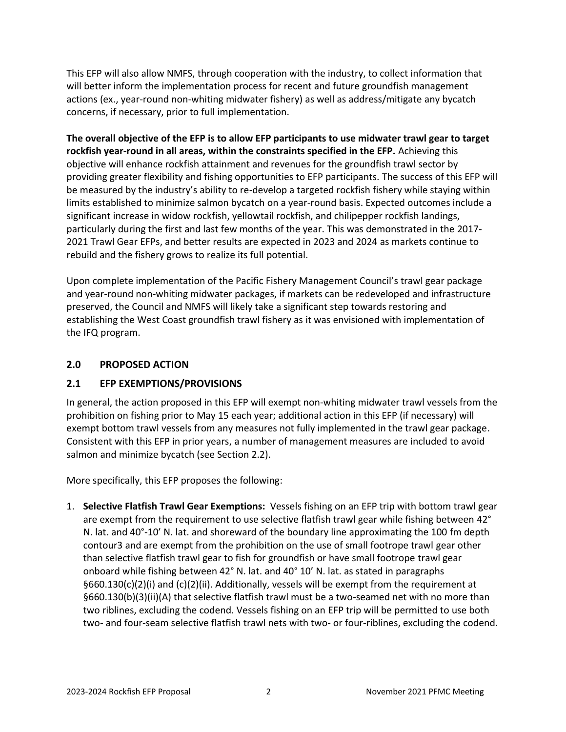This EFP will also allow NMFS, through cooperation with the industry, to collect information that will better inform the implementation process for recent and future groundfish management actions (ex., year-round non-whiting midwater fishery) as well as address/mitigate any bycatch concerns, if necessary, prior to full implementation.

**The overall objective of the EFP is to allow EFP participants to use midwater trawl gear to target rockfish year-round in all areas, within the constraints specified in the EFP.** Achieving this objective will enhance rockfish attainment and revenues for the groundfish trawl sector by providing greater flexibility and fishing opportunities to EFP participants. The success of this EFP will be measured by the industry's ability to re-develop a targeted rockfish fishery while staying within limits established to minimize salmon bycatch on a year-round basis. Expected outcomes include a significant increase in widow rockfish, yellowtail rockfish, and chilipepper rockfish landings, particularly during the first and last few months of the year. This was demonstrated in the 2017- 2021 Trawl Gear EFPs, and better results are expected in 2023 and 2024 as markets continue to rebuild and the fishery grows to realize its full potential.

Upon complete implementation of the Pacific Fishery Management Council's trawl gear package and year-round non-whiting midwater packages, if markets can be redeveloped and infrastructure preserved, the Council and NMFS will likely take a significant step towards restoring and establishing the West Coast groundfish trawl fishery as it was envisioned with implementation of the IFQ program.

### <span id="page-3-0"></span>**2.0 PROPOSED ACTION**

## <span id="page-3-1"></span>**2.1 EFP EXEMPTIONS/PROVISIONS**

In general, the action proposed in this EFP will exempt non-whiting midwater trawl vessels from the prohibition on fishing prior to May 15 each year; additional action in this EFP (if necessary) will exempt bottom trawl vessels from any measures not fully implemented in the trawl gear package. Consistent with this EFP in prior years, a number of management measures are included to avoid salmon and minimize bycatch (see Section [2.2\)](#page-5-0).

More specifically, this EFP proposes the following:

1. **Selective Flatfish Trawl Gear Exemptions:** Vessels fishing on an EFP trip with bottom trawl gear are exempt from the requirement to use selective flatfish trawl gear while fishing between 42° N. lat. and 40°-10' N. lat. and shoreward of the boundary line approximating the 100 fm depth contour3 and are exempt from the prohibition on the use of small footrope trawl gear other than selective flatfish trawl gear to fish for groundfish or have small footrope trawl gear onboard while fishing between 42° N. lat. and 40° 10' N. lat. as stated in paragraphs §660.130(c)(2)(i) and (c)(2)(ii). Additionally, vessels will be exempt from the requirement at §660.130(b)(3)(ii)(A) that selective flatfish trawl must be a two-seamed net with no more than two riblines, excluding the codend. Vessels fishing on an EFP trip will be permitted to use both two- and four-seam selective flatfish trawl nets with two- or four-riblines, excluding the codend.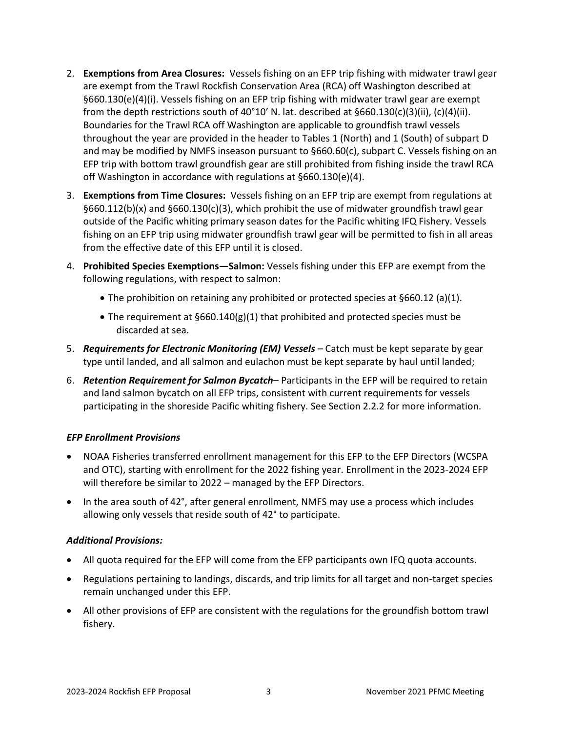- 2. **Exemptions from Area Closures:** Vessels fishing on an EFP trip fishing with midwater trawl gear are exempt from the Trawl Rockfish Conservation Area (RCA) off Washington described at §660.130(e)(4)(i). Vessels fishing on an EFP trip fishing with midwater trawl gear are exempt from the depth restrictions south of 40°10' N. lat. described at  $$660.130(c)(3)(ii)$ ,  $(c)(4)(ii)$ . Boundaries for the Trawl RCA off Washington are applicable to groundfish trawl vessels throughout the year are provided in the header to Tables 1 (North) and 1 (South) of subpart D and may be modified by NMFS inseason pursuant to §660.60(c), subpart C. Vessels fishing on an EFP trip with bottom trawl groundfish gear are still prohibited from fishing inside the trawl RCA off Washington in accordance with regulations at §660.130(e)(4).
- 3. **Exemptions from Time Closures:** Vessels fishing on an EFP trip are exempt from regulations at §660.112(b)(x) and §660.130(c)(3), which prohibit the use of midwater groundfish trawl gear outside of the Pacific whiting primary season dates for the Pacific whiting IFQ Fishery. Vessels fishing on an EFP trip using midwater groundfish trawl gear will be permitted to fish in all areas from the effective date of this EFP until it is closed.
- 4. **Prohibited Species Exemptions—Salmon:** Vessels fishing under this EFP are exempt from the following regulations, with respect to salmon:
	- The prohibition on retaining any prohibited or protected species at §660.12 (a)(1).
	- The requirement at §660.140(g)(1) that prohibited and protected species must be discarded at sea.
- 5. *Requirements for Electronic Monitoring (EM) Vessels* Catch must be kept separate by gear type until landed, and all salmon and eulachon must be kept separate by haul until landed;
- 6. *Retention Requirement for Salmon Bycatch* Participants in the EFP will be required to retain and land salmon bycatch on all EFP trips, consistent with current requirements for vessels participating in the shoreside Pacific whiting fishery. See Sectio[n 2.2.2](#page-5-2) for more information.

#### *EFP Enrollment Provisions*

- NOAA Fisheries transferred enrollment management for this EFP to the EFP Directors (WCSPA and OTC), starting with enrollment for the 2022 fishing year. Enrollment in the 2023-2024 EFP will therefore be similar to 2022 – managed by the EFP Directors.
- In the area south of 42°, after general enrollment, NMFS may use a process which includes allowing only vessels that reside south of 42° to participate.

#### *Additional Provisions:*

- All quota required for the EFP will come from the EFP participants own IFQ quota accounts.
- Regulations pertaining to landings, discards, and trip limits for all target and non-target species remain unchanged under this EFP.
- All other provisions of EFP are consistent with the regulations for the groundfish bottom trawl fishery.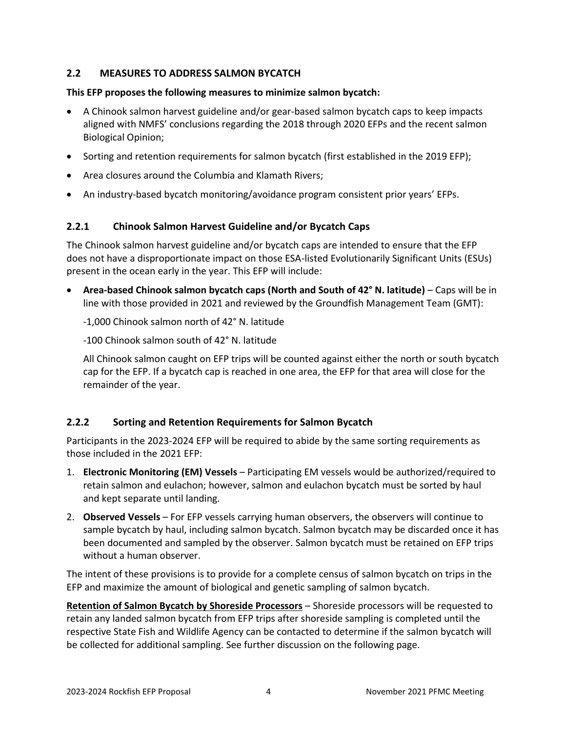## <span id="page-5-0"></span>**2.2 MEASURES TO ADDRESS SALMON BYCATCH**

#### **This EFP proposes the following measures to minimize salmon bycatch:**

- A Chinook salmon harvest guideline and/or gear-based salmon bycatch caps to keep impacts aligned with NMFS' conclusions regarding the 2018 through 2020 EFPs and the recent salmon Biological Opinion;
- Sorting and retention requirements for salmon bycatch (first established in the 2019 EFP);
- Area closures around the Columbia and Klamath Rivers;
- An industry-based bycatch monitoring/avoidance program consistent prior years' EFPs.

## <span id="page-5-1"></span>**2.2.1 Chinook Salmon Harvest Guideline and/or Bycatch Caps**

The Chinook salmon harvest guideline and/or bycatch caps are intended to ensure that the EFP does not have a disproportionate impact on those ESA-listed Evolutionarily Significant Units (ESUs) present in the ocean early in the year. This EFP will include:

• **Area-based Chinook salmon bycatch caps (North and South of 42° N. latitude)** – Caps will be in line with those provided in 2021 and reviewed by the Groundfish Management Team (GMT):

-1,000 Chinook salmon north of 42° N. latitude

-100 Chinook salmon south of 42° N. latitude

All Chinook salmon caught on EFP trips will be counted against either the north or south bycatch cap for the EFP. If a bycatch cap is reached in one area, the EFP for that area will close for the remainder of the year.

## <span id="page-5-2"></span>**2.2.2 Sorting and Retention Requirements for Salmon Bycatch**

Participants in the 2023-2024 EFP will be required to abide by the same sorting requirements as those included in the 2021 EFP:

- 1. **Electronic Monitoring (EM) Vessels** Participating EM vessels would be authorized/required to retain salmon and eulachon; however, salmon and eulachon bycatch must be sorted by haul and kept separate until landing.
- 2. **Observed Vessels** For EFP vessels carrying human observers, the observers will continue to sample bycatch by haul, including salmon bycatch. Salmon bycatch may be discarded once it has been documented and sampled by the observer. Salmon bycatch must be retained on EFP trips without a human observer.

The intent of these provisions is to provide for a complete census of salmon bycatch on trips in the EFP and maximize the amount of biological and genetic sampling of salmon bycatch.

**Retention of Salmon Bycatch by Shoreside Processors** – Shoreside processors will be requested to retain any landed salmon bycatch from EFP trips after shoreside sampling is completed until the respective State Fish and Wildlife Agency can be contacted to determine if the salmon bycatch will be collected for additional sampling. See further discussion on the following page.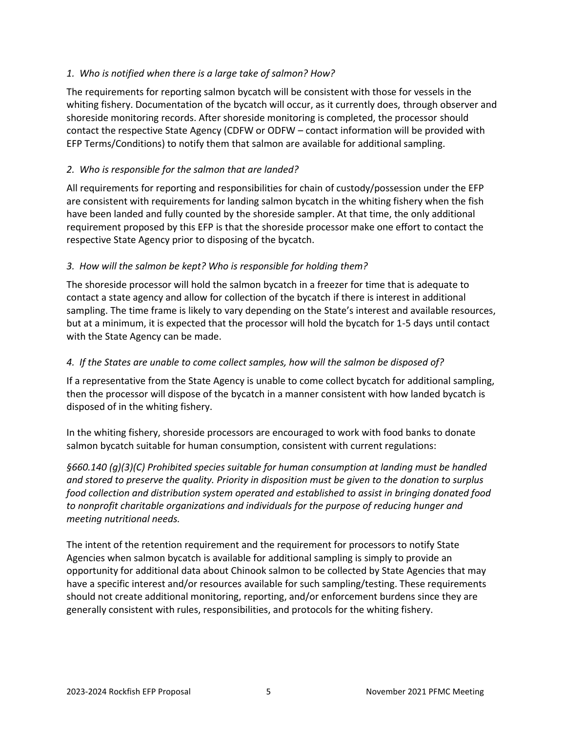### *1. Who is notified when there is a large take of salmon? How?*

The requirements for reporting salmon bycatch will be consistent with those for vessels in the whiting fishery. Documentation of the bycatch will occur, as it currently does, through observer and shoreside monitoring records. After shoreside monitoring is completed, the processor should contact the respective State Agency (CDFW or ODFW – contact information will be provided with EFP Terms/Conditions) to notify them that salmon are available for additional sampling.

## *2. Who is responsible for the salmon that are landed?*

All requirements for reporting and responsibilities for chain of custody/possession under the EFP are consistent with requirements for landing salmon bycatch in the whiting fishery when the fish have been landed and fully counted by the shoreside sampler. At that time, the only additional requirement proposed by this EFP is that the shoreside processor make one effort to contact the respective State Agency prior to disposing of the bycatch.

### *3. How will the salmon be kept? Who is responsible for holding them?*

The shoreside processor will hold the salmon bycatch in a freezer for time that is adequate to contact a state agency and allow for collection of the bycatch if there is interest in additional sampling. The time frame is likely to vary depending on the State's interest and available resources, but at a minimum, it is expected that the processor will hold the bycatch for 1-5 days until contact with the State Agency can be made.

#### *4. If the States are unable to come collect samples, how will the salmon be disposed of?*

If a representative from the State Agency is unable to come collect bycatch for additional sampling, then the processor will dispose of the bycatch in a manner consistent with how landed bycatch is disposed of in the whiting fishery.

In the whiting fishery, shoreside processors are encouraged to work with food banks to donate salmon bycatch suitable for human consumption, consistent with current regulations:

*§660.140 (g)(3)(C) Prohibited species suitable for human consumption at landing must be handled and stored to preserve the quality. Priority in disposition must be given to the donation to surplus food collection and distribution system operated and established to assist in bringing donated food to nonprofit charitable organizations and individuals for the purpose of reducing hunger and meeting nutritional needs.*

The intent of the retention requirement and the requirement for processors to notify State Agencies when salmon bycatch is available for additional sampling is simply to provide an opportunity for additional data about Chinook salmon to be collected by State Agencies that may have a specific interest and/or resources available for such sampling/testing. These requirements should not create additional monitoring, reporting, and/or enforcement burdens since they are generally consistent with rules, responsibilities, and protocols for the whiting fishery.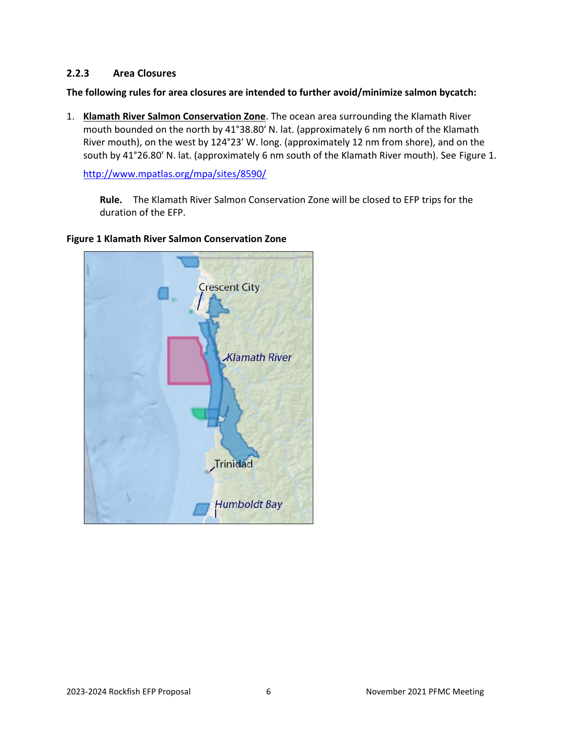### <span id="page-7-0"></span>**2.2.3 Area Closures**

**The following rules for area closures are intended to further avoid/minimize salmon bycatch:**

1. **Klamath River Salmon Conservation Zone**. The ocean area surrounding the Klamath River mouth bounded on the north by 41°38.80′ N. lat. (approximately 6 nm north of the Klamath River mouth), on the west by 124°23′ W. long. (approximately 12 nm from shore), and on the south by 41°26.80′ N. lat. (approximately 6 nm south of the Klamath River mouth). See [Figure 1.](#page-7-1)

<http://www.mpatlas.org/mpa/sites/8590/>

**Rule.** The Klamath River Salmon Conservation Zone will be closed to EFP trips for the duration of the EFP.



#### <span id="page-7-1"></span>**Figure 1 Klamath River Salmon Conservation Zone**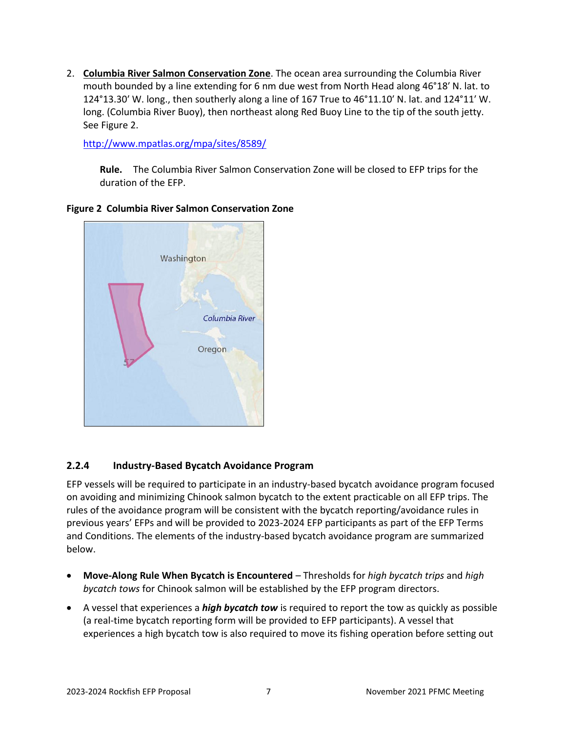2. **Columbia River Salmon Conservation Zone**. The ocean area surrounding the Columbia River mouth bounded by a line extending for 6 nm due west from North Head along 46°18′ N. lat. to 124°13.30′ W. long., then southerly along a line of 167 True to 46°11.10′ N. lat. and 124°11′ W. long. (Columbia River Buoy), then northeast along Red Buoy Line to the tip of the south jetty. See [Figure 2.](#page-8-1)

<http://www.mpatlas.org/mpa/sites/8589/>

**Rule.** The Columbia River Salmon Conservation Zone will be closed to EFP trips for the duration of the EFP.



#### <span id="page-8-1"></span>**Figure 2 Columbia River Salmon Conservation Zone**

## <span id="page-8-0"></span>**2.2.4 Industry-Based Bycatch Avoidance Program**

EFP vessels will be required to participate in an industry-based bycatch avoidance program focused on avoiding and minimizing Chinook salmon bycatch to the extent practicable on all EFP trips. The rules of the avoidance program will be consistent with the bycatch reporting/avoidance rules in previous years' EFPs and will be provided to 2023-2024 EFP participants as part of the EFP Terms and Conditions. The elements of the industry-based bycatch avoidance program are summarized below.

- **Move-Along Rule When Bycatch is Encountered** Thresholds for *high bycatch trips* and *high bycatch tows* for Chinook salmon will be established by the EFP program directors.
- A vessel that experiences a *high bycatch tow* is required to report the tow as quickly as possible (a real-time bycatch reporting form will be provided to EFP participants). A vessel that experiences a high bycatch tow is also required to move its fishing operation before setting out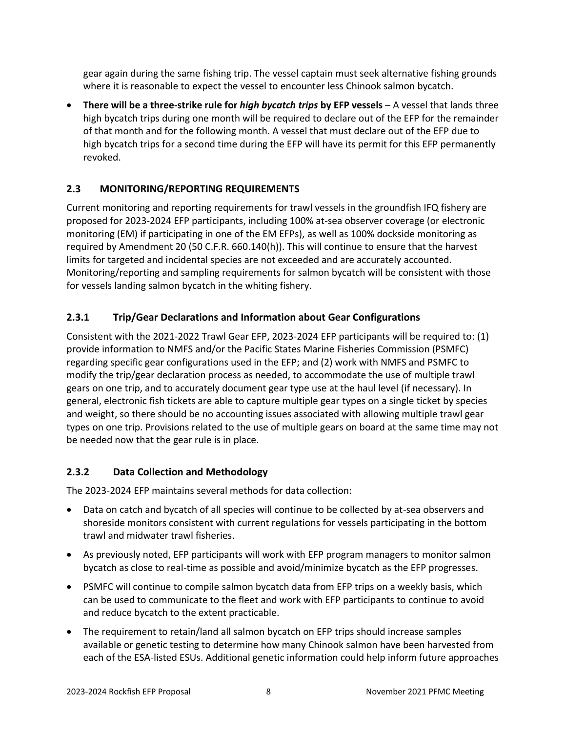gear again during the same fishing trip. The vessel captain must seek alternative fishing grounds where it is reasonable to expect the vessel to encounter less Chinook salmon bycatch.

• **There will be a three-strike rule for** *high bycatch trips* **by EFP vessels** – A vessel that lands three high bycatch trips during one month will be required to declare out of the EFP for the remainder of that month and for the following month. A vessel that must declare out of the EFP due to high bycatch trips for a second time during the EFP will have its permit for this EFP permanently revoked.

## <span id="page-9-0"></span>**2.3 MONITORING/REPORTING REQUIREMENTS**

Current monitoring and reporting requirements for trawl vessels in the groundfish IFQ fishery are proposed for 2023-2024 EFP participants, including 100% at-sea observer coverage (or electronic monitoring (EM) if participating in one of the EM EFPs), as well as 100% dockside monitoring as required by Amendment 20 (50 C.F.R. 660.140(h)). This will continue to ensure that the harvest limits for targeted and incidental species are not exceeded and are accurately accounted. Monitoring/reporting and sampling requirements for salmon bycatch will be consistent with those for vessels landing salmon bycatch in the whiting fishery.

## <span id="page-9-1"></span>**2.3.1 Trip/Gear Declarations and Information about Gear Configurations**

Consistent with the 2021-2022 Trawl Gear EFP, 2023-2024 EFP participants will be required to: (1) provide information to NMFS and/or the Pacific States Marine Fisheries Commission (PSMFC) regarding specific gear configurations used in the EFP; and (2) work with NMFS and PSMFC to modify the trip/gear declaration process as needed, to accommodate the use of multiple trawl gears on one trip, and to accurately document gear type use at the haul level (if necessary). In general, electronic fish tickets are able to capture multiple gear types on a single ticket by species and weight, so there should be no accounting issues associated with allowing multiple trawl gear types on one trip. Provisions related to the use of multiple gears on board at the same time may not be needed now that the gear rule is in place.

## <span id="page-9-2"></span>**2.3.2 Data Collection and Methodology**

The 2023-2024 EFP maintains several methods for data collection:

- Data on catch and bycatch of all species will continue to be collected by at-sea observers and shoreside monitors consistent with current regulations for vessels participating in the bottom trawl and midwater trawl fisheries.
- As previously noted, EFP participants will work with EFP program managers to monitor salmon bycatch as close to real-time as possible and avoid/minimize bycatch as the EFP progresses.
- PSMFC will continue to compile salmon bycatch data from EFP trips on a weekly basis, which can be used to communicate to the fleet and work with EFP participants to continue to avoid and reduce bycatch to the extent practicable.
- The requirement to retain/land all salmon bycatch on EFP trips should increase samples available or genetic testing to determine how many Chinook salmon have been harvested from each of the ESA-listed ESUs. Additional genetic information could help inform future approaches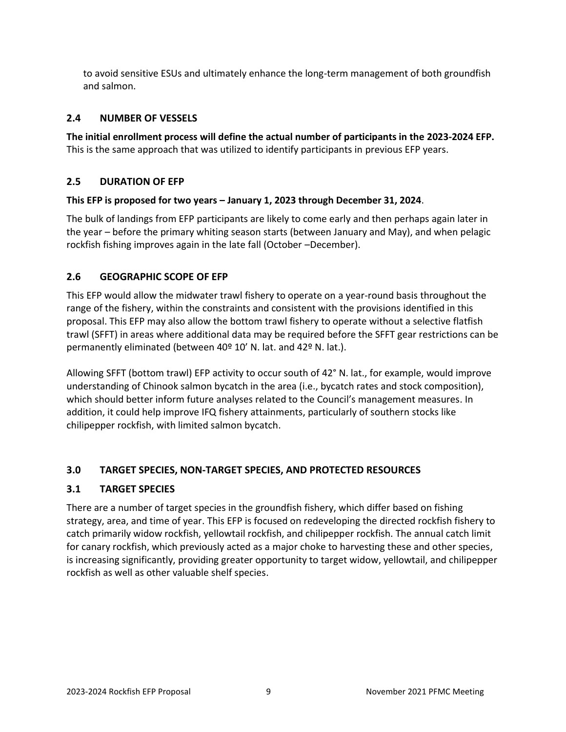to avoid sensitive ESUs and ultimately enhance the long-term management of both groundfish and salmon.

## <span id="page-10-0"></span>**2.4 NUMBER OF VESSELS**

**The initial enrollment process will define the actual number of participants in the 2023-2024 EFP.** This is the same approach that was utilized to identify participants in previous EFP years.

### <span id="page-10-1"></span>**2.5 DURATION OF EFP**

### **This EFP is proposed for two years – January 1, 2023 through December 31, 2024**.

The bulk of landings from EFP participants are likely to come early and then perhaps again later in the year – before the primary whiting season starts (between January and May), and when pelagic rockfish fishing improves again in the late fall (October –December).

### <span id="page-10-2"></span>**2.6 GEOGRAPHIC SCOPE OF EFP**

This EFP would allow the midwater trawl fishery to operate on a year-round basis throughout the range of the fishery, within the constraints and consistent with the provisions identified in this proposal. This EFP may also allow the bottom trawl fishery to operate without a selective flatfish trawl (SFFT) in areas where additional data may be required before the SFFT gear restrictions can be permanently eliminated (between 40º 10' N. lat. and 42º N. lat.).

Allowing SFFT (bottom trawl) EFP activity to occur south of 42° N. lat., for example, would improve understanding of Chinook salmon bycatch in the area (i.e., bycatch rates and stock composition), which should better inform future analyses related to the Council's management measures. In addition, it could help improve IFQ fishery attainments, particularly of southern stocks like chilipepper rockfish, with limited salmon bycatch.

## <span id="page-10-3"></span>**3.0 TARGET SPECIES, NON-TARGET SPECIES, AND PROTECTED RESOURCES**

#### <span id="page-10-4"></span>**3.1 TARGET SPECIES**

There are a number of target species in the groundfish fishery, which differ based on fishing strategy, area, and time of year. This EFP is focused on redeveloping the directed rockfish fishery to catch primarily widow rockfish, yellowtail rockfish, and chilipepper rockfish. The annual catch limit for canary rockfish, which previously acted as a major choke to harvesting these and other species, is increasing significantly, providing greater opportunity to target widow, yellowtail, and chilipepper rockfish as well as other valuable shelf species.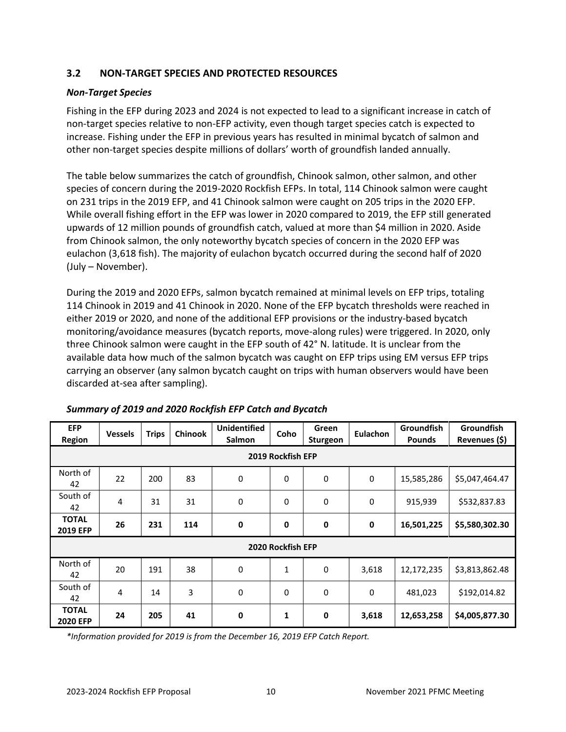## <span id="page-11-0"></span>**3.2 NON-TARGET SPECIES AND PROTECTED RESOURCES**

#### *Non-Target Species*

Fishing in the EFP during 2023 and 2024 is not expected to lead to a significant increase in catch of non-target species relative to non-EFP activity, even though target species catch is expected to increase. Fishing under the EFP in previous years has resulted in minimal bycatch of salmon and other non-target species despite millions of dollars' worth of groundfish landed annually.

The table below summarizes the catch of groundfish, Chinook salmon, other salmon, and other species of concern during the 2019-2020 Rockfish EFPs. In total, 114 Chinook salmon were caught on 231 trips in the 2019 EFP, and 41 Chinook salmon were caught on 205 trips in the 2020 EFP. While overall fishing effort in the EFP was lower in 2020 compared to 2019, the EFP still generated upwards of 12 million pounds of groundfish catch, valued at more than \$4 million in 2020. Aside from Chinook salmon, the only noteworthy bycatch species of concern in the 2020 EFP was eulachon (3,618 fish). The majority of eulachon bycatch occurred during the second half of 2020 (July – November).

During the 2019 and 2020 EFPs, salmon bycatch remained at minimal levels on EFP trips, totaling 114 Chinook in 2019 and 41 Chinook in 2020. None of the EFP bycatch thresholds were reached in either 2019 or 2020, and none of the additional EFP provisions or the industry-based bycatch monitoring/avoidance measures (bycatch reports, move-along rules) were triggered. In 2020, only three Chinook salmon were caught in the EFP south of 42° N. latitude. It is unclear from the available data how much of the salmon bycatch was caught on EFP trips using EM versus EFP trips carrying an observer (any salmon bycatch caught on trips with human observers would have been discarded at-sea after sampling).

| <b>EFP</b><br>Region            | <b>Vessels</b> | <b>Trips</b> | <b>Chinook</b> | <b>Unidentified</b><br>Salmon | Coho | Green<br>Sturgeon | Eulachon    | Groundfish<br><b>Pounds</b> | Groundfish<br>Revenues (\$) |  |  |  |  |
|---------------------------------|----------------|--------------|----------------|-------------------------------|------|-------------------|-------------|-----------------------------|-----------------------------|--|--|--|--|
| 2019 Rockfish EFP               |                |              |                |                               |      |                   |             |                             |                             |  |  |  |  |
| North of<br>42                  | 22             | 200          | 83             | 0                             | 0    | $\mathbf 0$       | 0           | 15,585,286                  | \$5,047,464.47              |  |  |  |  |
| South of<br>42                  | 4              | 31           | 31             | $\mathbf 0$                   | 0    | $\mathbf 0$       | $\mathbf 0$ | 915,939                     | \$532,837.83                |  |  |  |  |
| <b>TOTAL</b><br>2019 EFP        | 26             | 231          | 114            | $\mathbf 0$                   | 0    | $\mathbf 0$       | 0           | 16,501,225                  | \$5,580,302.30              |  |  |  |  |
| 2020 Rockfish EFP               |                |              |                |                               |      |                   |             |                             |                             |  |  |  |  |
| North of<br>42                  | 20             | 191          | 38             | 0                             | 1    | 0                 | 3,618       | 12,172,235                  | \$3,813,862.48              |  |  |  |  |
| South of<br>42                  | 4              | 14           | 3              | 0                             | 0    | $\mathbf 0$       | 0           | 481,023                     | \$192,014.82                |  |  |  |  |
| <b>TOTAL</b><br><b>2020 EFP</b> | 24             | 205          | 41             | $\mathbf 0$                   | 1    | 0                 | 3,618       | 12,653,258                  | \$4,005,877.30              |  |  |  |  |

*Summary of 2019 and 2020 Rockfish EFP Catch and Bycatch*

*\*Information provided for 2019 is from the December 16, 2019 EFP Catch Report.*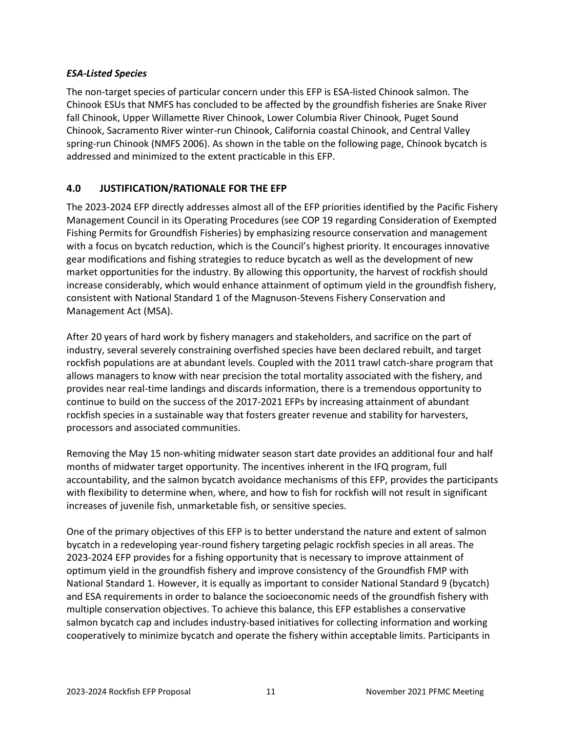#### *ESA-Listed Species*

The non-target species of particular concern under this EFP is ESA-listed Chinook salmon. The Chinook ESUs that NMFS has concluded to be affected by the groundfish fisheries are Snake River fall Chinook, Upper Willamette River Chinook, Lower Columbia River Chinook, Puget Sound Chinook, Sacramento River winter-run Chinook, California coastal Chinook, and Central Valley spring-run Chinook (NMFS 2006). As shown in the table on the following page, Chinook bycatch is addressed and minimized to the extent practicable in this EFP.

## <span id="page-12-0"></span>**4.0 JUSTIFICATION/RATIONALE FOR THE EFP**

The 2023-2024 EFP directly addresses almost all of the EFP priorities identified by the Pacific Fishery Management Council in its Operating Procedures (see [COP 19 regarding Consideration of Exempted](http://www.pcouncil.org/wp-content/uploads/cop19.pdf)  [Fishing Permits for Groundfish Fisheries\)](http://www.pcouncil.org/wp-content/uploads/cop19.pdf) by emphasizing resource conservation and management with a focus on bycatch reduction, which is the Council's highest priority. It encourages innovative gear modifications and fishing strategies to reduce bycatch as well as the development of new market opportunities for the industry. By allowing this opportunity, the harvest of rockfish should increase considerably, which would enhance attainment of optimum yield in the groundfish fishery, consistent with National Standard 1 of the Magnuson-Stevens Fishery Conservation and Management Act (MSA).

After 20 years of hard work by fishery managers and stakeholders, and sacrifice on the part of industry, several severely constraining overfished species have been declared rebuilt, and target rockfish populations are at abundant levels. Coupled with the 2011 trawl catch-share program that allows managers to know with near precision the total mortality associated with the fishery, and provides near real-time landings and discards information, there is a tremendous opportunity to continue to build on the success of the 2017-2021 EFPs by increasing attainment of abundant rockfish species in a sustainable way that fosters greater revenue and stability for harvesters, processors and associated communities.

Removing the May 15 non-whiting midwater season start date provides an additional four and half months of midwater target opportunity. The incentives inherent in the IFQ program, full accountability, and the salmon bycatch avoidance mechanisms of this EFP, provides the participants with flexibility to determine when, where, and how to fish for rockfish will not result in significant increases of juvenile fish, unmarketable fish, or sensitive species.

One of the primary objectives of this EFP is to better understand the nature and extent of salmon bycatch in a redeveloping year-round fishery targeting pelagic rockfish species in all areas. The 2023-2024 EFP provides for a fishing opportunity that is necessary to improve attainment of optimum yield in the groundfish fishery and improve consistency of the Groundfish FMP with National Standard 1. However, it is equally as important to consider National Standard 9 (bycatch) and ESA requirements in order to balance the socioeconomic needs of the groundfish fishery with multiple conservation objectives. To achieve this balance, this EFP establishes a conservative salmon bycatch cap and includes industry-based initiatives for collecting information and working cooperatively to minimize bycatch and operate the fishery within acceptable limits. Participants in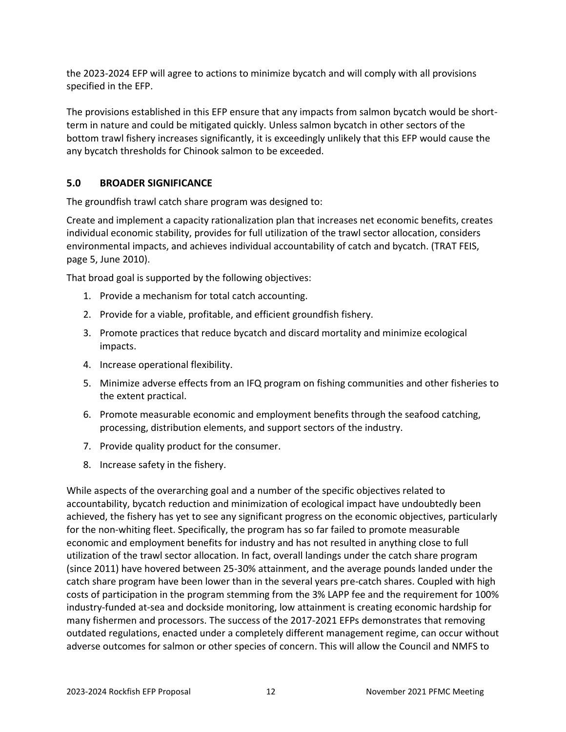the 2023-2024 EFP will agree to actions to minimize bycatch and will comply with all provisions specified in the EFP.

The provisions established in this EFP ensure that any impacts from salmon bycatch would be shortterm in nature and could be mitigated quickly. Unless salmon bycatch in other sectors of the bottom trawl fishery increases significantly, it is exceedingly unlikely that this EFP would cause the any bycatch thresholds for Chinook salmon to be exceeded.

## <span id="page-13-0"></span>**5.0 BROADER SIGNIFICANCE**

The groundfish trawl catch share program was designed to:

Create and implement a capacity rationalization plan that increases net economic benefits, creates individual economic stability, provides for full utilization of the trawl sector allocation, considers environmental impacts, and achieves individual accountability of catch and bycatch. (TRAT FEIS, page 5, June 2010).

That broad goal is supported by the following objectives:

- 1. Provide a mechanism for total catch accounting.
- 2. Provide for a viable, profitable, and efficient groundfish fishery.
- 3. Promote practices that reduce bycatch and discard mortality and minimize ecological impacts.
- 4. Increase operational flexibility.
- 5. Minimize adverse effects from an IFQ program on fishing communities and other fisheries to the extent practical.
- 6. Promote measurable economic and employment benefits through the seafood catching, processing, distribution elements, and support sectors of the industry.
- 7. Provide quality product for the consumer.
- 8. Increase safety in the fishery.

While aspects of the overarching goal and a number of the specific objectives related to accountability, bycatch reduction and minimization of ecological impact have undoubtedly been achieved, the fishery has yet to see any significant progress on the economic objectives, particularly for the non-whiting fleet. Specifically, the program has so far failed to promote measurable economic and employment benefits for industry and has not resulted in anything close to full utilization of the trawl sector allocation. In fact, overall landings under the catch share program (since 2011) have hovered between 25-30% attainment, and the average pounds landed under the catch share program have been lower than in the several years pre-catch shares. Coupled with high costs of participation in the program stemming from the 3% LAPP fee and the requirement for 100% industry-funded at-sea and dockside monitoring, low attainment is creating economic hardship for many fishermen and processors. The success of the 2017-2021 EFPs demonstrates that removing outdated regulations, enacted under a completely different management regime, can occur without adverse outcomes for salmon or other species of concern. This will allow the Council and NMFS to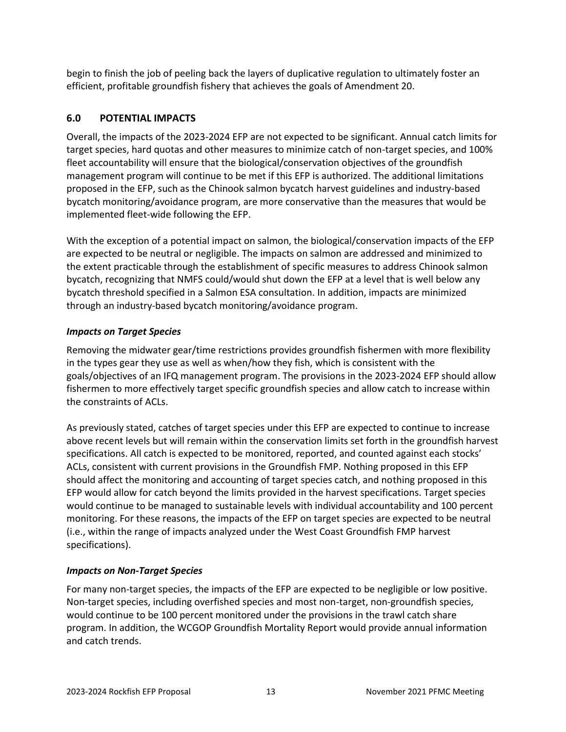begin to finish the job of peeling back the layers of duplicative regulation to ultimately foster an efficient, profitable groundfish fishery that achieves the goals of Amendment 20.

## <span id="page-14-0"></span>**6.0 POTENTIAL IMPACTS**

Overall, the impacts of the 2023-2024 EFP are not expected to be significant. Annual catch limits for target species, hard quotas and other measures to minimize catch of non-target species, and 100% fleet accountability will ensure that the biological/conservation objectives of the groundfish management program will continue to be met if this EFP is authorized. The additional limitations proposed in the EFP, such as the Chinook salmon bycatch harvest guidelines and industry-based bycatch monitoring/avoidance program, are more conservative than the measures that would be implemented fleet-wide following the EFP.

With the exception of a potential impact on salmon, the biological/conservation impacts of the EFP are expected to be neutral or negligible. The impacts on salmon are addressed and minimized to the extent practicable through the establishment of specific measures to address Chinook salmon bycatch, recognizing that NMFS could/would shut down the EFP at a level that is well below any bycatch threshold specified in a Salmon ESA consultation. In addition, impacts are minimized through an industry-based bycatch monitoring/avoidance program.

### *Impacts on Target Species*

Removing the midwater gear/time restrictions provides groundfish fishermen with more flexibility in the types gear they use as well as when/how they fish, which is consistent with the goals/objectives of an IFQ management program. The provisions in the 2023-2024 EFP should allow fishermen to more effectively target specific groundfish species and allow catch to increase within the constraints of ACLs.

As previously stated, catches of target species under this EFP are expected to continue to increase above recent levels but will remain within the conservation limits set forth in the groundfish harvest specifications. All catch is expected to be monitored, reported, and counted against each stocks' ACLs, consistent with current provisions in the Groundfish FMP. Nothing proposed in this EFP should affect the monitoring and accounting of target species catch, and nothing proposed in this EFP would allow for catch beyond the limits provided in the harvest specifications. Target species would continue to be managed to sustainable levels with individual accountability and 100 percent monitoring. For these reasons, the impacts of the EFP on target species are expected to be neutral (i.e., within the range of impacts analyzed under the West Coast Groundfish FMP harvest specifications).

#### *Impacts on Non-Target Species*

For many non-target species, the impacts of the EFP are expected to be negligible or low positive. Non-target species, including overfished species and most non-target, non-groundfish species, would continue to be 100 percent monitored under the provisions in the trawl catch share program. In addition, the WCGOP Groundfish Mortality Report would provide annual information and catch trends.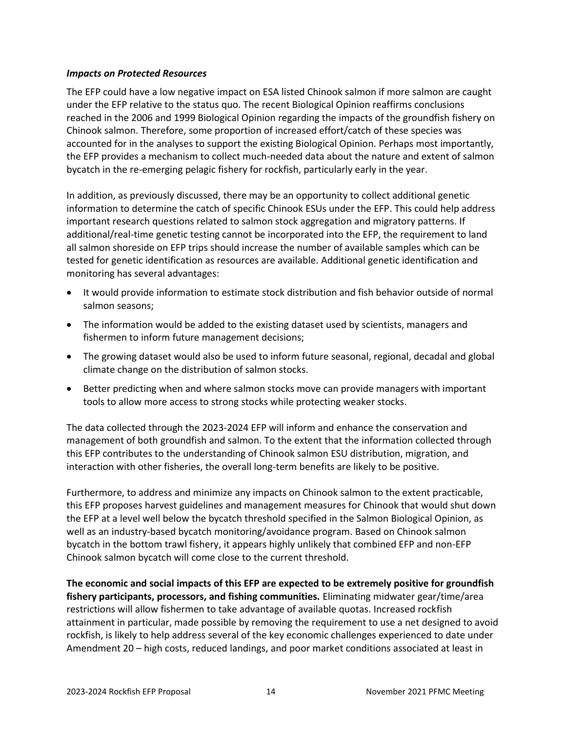#### *Impacts on Protected Resources*

The EFP could have a low negative impact on ESA listed Chinook salmon if more salmon are caught under the EFP relative to the status quo. The recent Biological Opinion reaffirms conclusions reached in the 2006 and 1999 Biological Opinion regarding the impacts of the groundfish fishery on Chinook salmon. Therefore, some proportion of increased effort/catch of these species was accounted for in the analyses to support the existing Biological Opinion. Perhaps most importantly, the EFP provides a mechanism to collect much-needed data about the nature and extent of salmon bycatch in the re-emerging pelagic fishery for rockfish, particularly early in the year.

In addition, as previously discussed, there may be an opportunity to collect additional genetic information to determine the catch of specific Chinook ESUs under the EFP. This could help address important research questions related to salmon stock aggregation and migratory patterns. If additional/real-time genetic testing cannot be incorporated into the EFP, the requirement to land all salmon shoreside on EFP trips should increase the number of available samples which can be tested for genetic identification as resources are available. Additional genetic identification and monitoring has several advantages:

- It would provide information to estimate stock distribution and fish behavior outside of normal salmon seasons;
- The information would be added to the existing dataset used by scientists, managers and fishermen to inform future management decisions;
- The growing dataset would also be used to inform future seasonal, regional, decadal and global climate change on the distribution of salmon stocks.
- Better predicting when and where salmon stocks move can provide managers with important tools to allow more access to strong stocks while protecting weaker stocks.

The data collected through the 2023-2024 EFP will inform and enhance the conservation and management of both groundfish and salmon. To the extent that the information collected through this EFP contributes to the understanding of Chinook salmon ESU distribution, migration, and interaction with other fisheries, the overall long-term benefits are likely to be positive.

Furthermore, to address and minimize any impacts on Chinook salmon to the extent practicable, this EFP proposes harvest guidelines and management measures for Chinook that would shut down the EFP at a level well below the bycatch threshold specified in the Salmon Biological Opinion, as well as an industry-based bycatch monitoring/avoidance program. Based on Chinook salmon bycatch in the bottom trawl fishery, it appears highly unlikely that combined EFP and non-EFP Chinook salmon bycatch will come close to the current threshold.

**The economic and social impacts of this EFP are expected to be extremely positive for groundfish fishery participants, processors, and fishing communities.** Eliminating midwater gear/time/area restrictions will allow fishermen to take advantage of available quotas. Increased rockfish attainment in particular, made possible by removing the requirement to use a net designed to avoid rockfish, is likely to help address several of the key economic challenges experienced to date under Amendment 20 – high costs, reduced landings, and poor market conditions associated at least in